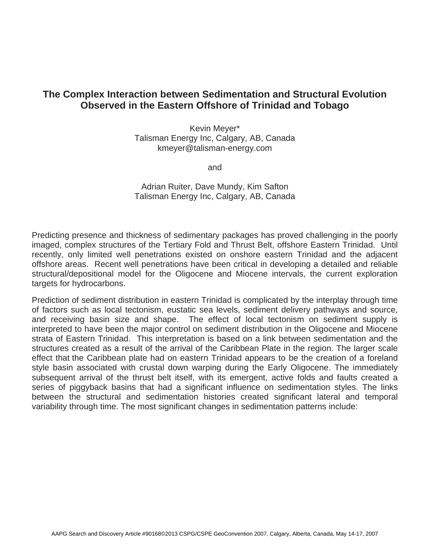## **The Complex Interaction between Sedimentation and Structural Evolution Observed in the Eastern Offshore of Trinidad and Tobago**

Kevin Meyer\* Talisman Energy Inc, Calgary, AB, Canada kmeyer@talisman-energy.com

and

## Adrian Ruiter, Dave Mundy, Kim Safton Talisman Energy Inc, Calgary, AB, Canada

Predicting presence and thickness of sedimentary packages has proved challenging in the poorly imaged, complex structures of the Tertiary Fold and Thrust Belt, offshore Eastern Trinidad. Until recently, only limited well penetrations existed on onshore eastern Trinidad and the adjacent offshore areas. Recent well penetrations have been critical in developing a detailed and reliable structural/depositional model for the Oligocene and Miocene intervals, the current exploration targets for hydrocarbons.

Prediction of sediment distribution in eastern Trinidad is complicated by the interplay through time of factors such as local tectonism, eustatic sea levels, sediment delivery pathways and source, and receiving basin size and shape. The effect of local tectonism on sediment supply is interpreted to have been the major control on sediment distribution in the Oligocene and Miocene strata of Eastern Trinidad. This interpretation is based on a link between sedimentation and the structures created as a result of the arrival of the Caribbean Plate in the region. The larger scale effect that the Caribbean plate had on eastern Trinidad appears to be the creation of a foreland style basin associated with crustal down warping during the Early Oligocene. The immediately subsequent arrival of the thrust belt itself, with its emergent, active folds and faults created a series of piggyback basins that had a significant influence on sedimentation styles. The links between the structural and sedimentation histories created significant lateral and temporal variability through time. The most significant changes in sedimentation patterns include: